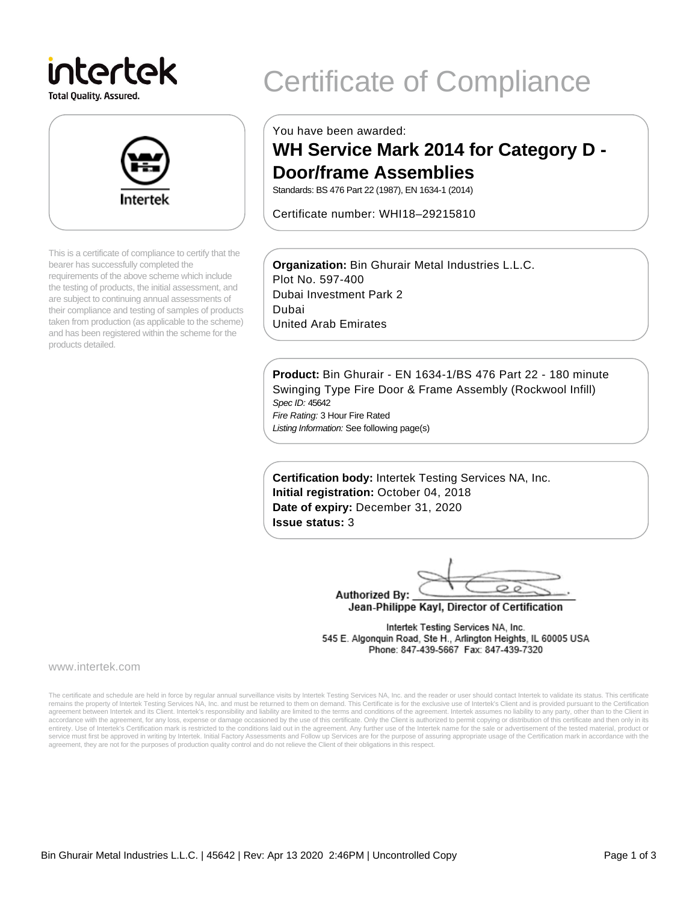# intertek

**Total Quality. Assured.** 



This is a certificate of compliance to certify that the bearer has successfully completed the requirements of the above scheme which include the testing of products, the initial assessment, and are subject to continuing annual assessments of their compliance and testing of samples of products taken from production (as applicable to the scheme) and has been registered within the scheme for the products detailed.

## Certificate of Compliance

You have been awarded:

### **WH Service Mark 2014 for Category D - Door/frame Assemblies**

Standards: BS 476 Part 22 (1987), EN 1634-1 (2014)

Certificate number: WHI18–29215810

**Organization:** Bin Ghurair Metal Industries L.L.C. Plot No. 597-400 Dubai Investment Park 2 Dubai United Arab Emirates

**Product:** Bin Ghurair - EN 1634-1/BS 476 Part 22 - 180 minute Swinging Type Fire Door & Frame Assembly (Rockwool Infill) Spec ID: 45642 Fire Rating: 3 Hour Fire Rated

Listing Information: See following page(s)

**Certification body:** Intertek Testing Services NA, Inc. **Initial registration:** October 04, 2018 **Date of expiry:** December 31, 2020 **Issue status:** 3

 $\circ$ **Authorized By:** 

Jean-Philippe Kayl, Director of Certification

Intertek Testing Services NA, Inc. 545 E. Algonquin Road, Ste H., Arlington Heights, IL 60005 USA Phone: 847-439-5667 Fax: 847-439-7320

www.intertek.com

The certificate and schedule are held in force by regular annual surveillance visits by Intertek Testing Services NA, Inc. and the reader or user should contact Intertek to validate its status. This certificate remains the property of Intertek Testing Services NA, Inc. and must be returned to them on demand. This Certificate is for the exclusive use of Intertek's Client and is provided pursuant to the Certification agreement between Intertek and its Client. Intertek's responsibility and liability are limited to the terms and conditions of the agreement. Intertek assumes no liability to any party, other than to the Client in accordance with the agreement, for any loss, expense or damage occasioned by the use of this certificate. Only the Client is authorized to permit copying or distribution of this certificate and then only in its<br>entirety. U service must first be approved in writing by Intertek. Initial Factory Assessments and Follow up Services are for the purpose of assuring appropriate usage of the Certification mark in accordance with the agreement, they are not for the purposes of production quality control and do not relieve the Client of their obligations in this respect.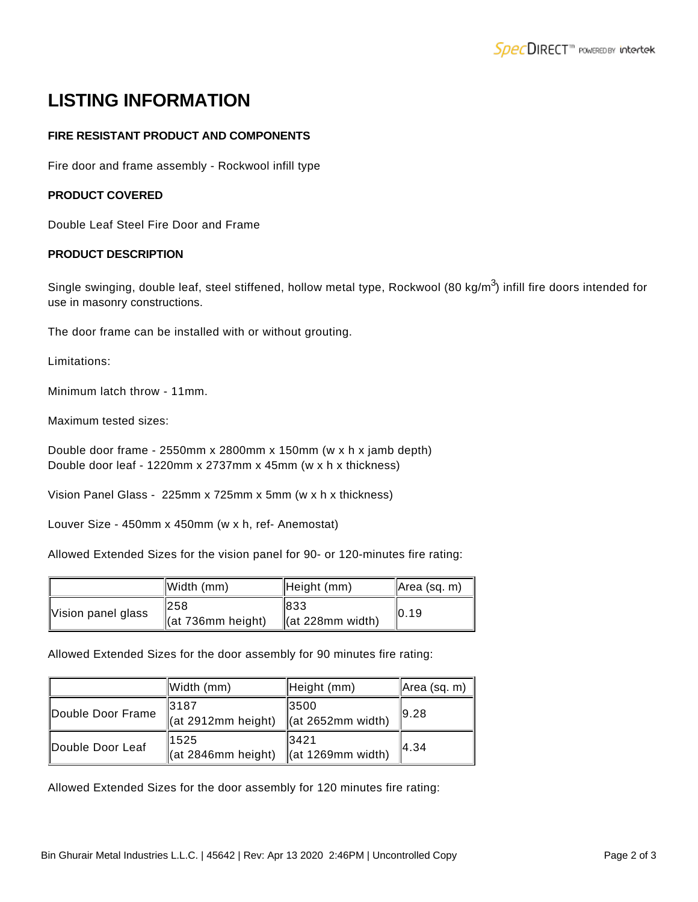## **LISTING INFORMATION**

#### **FIRE RESISTANT PRODUCT AND COMPONENTS**

Fire door and frame assembly - Rockwool infill type

#### **PRODUCT COVERED**

Double Leaf Steel Fire Door and Frame

#### **PRODUCT DESCRIPTION**

Single swinging, double leaf, steel stiffened, hollow metal type, Rockwool (80 kg/m<sup>3</sup>) infill fire doors intended for use in masonry constructions.

The door frame can be installed with or without grouting.

Limitations:

Minimum latch throw - 11mm.

Maximum tested sizes:

Double door frame - 2550mm x 2800mm x 150mm (w x h x jamb depth) Double door leaf - 1220mm x 2737mm x 45mm (w x h x thickness)

Vision Panel Glass - 225mm x 725mm x 5mm (w x h x thickness)

Louver Size - 450mm x 450mm (w x h, ref- Anemostat)

Allowed Extended Sizes for the vision panel for 90- or 120-minutes fire rating:

|                    | Width (mm)                                   | $H$ eight (mm)                       | Area (sq. m) |
|--------------------|----------------------------------------------|--------------------------------------|--------------|
| Vision panel glass | <b>258</b><br>$\left\vert$ (at 736mm height) | 1833<br>$\parallel$ (at 228mm width) | 0.19         |

Allowed Extended Sizes for the door assembly for 90 minutes fire rating:

|                   | Width (mm)                         | Height (mm)                            | Area (sq. m)  |
|-------------------|------------------------------------|----------------------------------------|---------------|
| Double Door Frame | 13187<br>$\ $ (at 2912mm height)   | 13500<br>$\ $ (at 2652mm width)        | <b>I</b> 9.28 |
| Double Door Leaf  | 1525<br>$\vert$ (at 2846mm height) | 13421<br>$\parallel$ (at 1269mm width) | 14.34         |

Allowed Extended Sizes for the door assembly for 120 minutes fire rating: